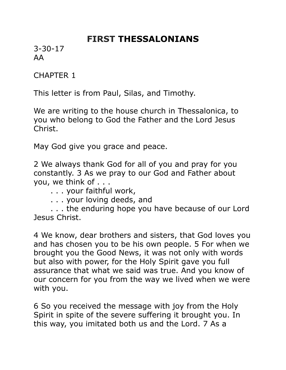# **FIRST THESSALONIANS**

3-30-17 AA

CHAPTER 1

This letter is from Paul, Silas, and Timothy.

We are writing to the house church in Thessalonica, to you who belong to God the Father and the Lord Jesus Christ.

May God give you grace and peace.

2 We always thank God for all of you and pray for you constantly. 3 As we pray to our God and Father about you, we think of . . .

. . . your faithful work,

. . . your loving deeds, and

 . . . the enduring hope you have because of our Lord Jesus Christ.

4 We know, dear brothers and sisters, that God loves you and has chosen you to be his own people. 5 For when we brought you the Good News, it was not only with words but also with power, for the Holy Spirit gave you full assurance that what we said was true. And you know of our concern for you from the way we lived when we were with you.

6 So you received the message with joy from the Holy Spirit in spite of the severe suffering it brought you. In this way, you imitated both us and the Lord. 7 As a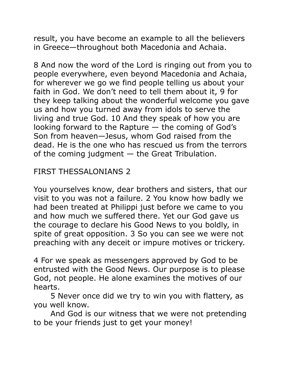result, you have become an example to all the believers in Greece—throughout both Macedonia and Achaia.

8 And now the word of the Lord is ringing out from you to people everywhere, even beyond Macedonia and Achaia, for wherever we go we find people telling us about your faith in God. We don't need to tell them about it, 9 for they keep talking about the wonderful welcome you gave us and how you turned away from idols to serve the living and true God. 10 And they speak of how you are looking forward to the Rapture — the coming of God's Son from heaven—Jesus, whom God raised from the dead. He is the one who has rescued us from the terrors of the coming judgment  $-$  the Great Tribulation.

## FIRST THESSALONIANS 2

You yourselves know, dear brothers and sisters, that our visit to you was not a failure. 2 You know how badly we had been treated at Philippi just before we came to you and how much we suffered there. Yet our God gave us the courage to declare his Good News to you boldly, in spite of great opposition. 3 So you can see we were not preaching with any deceit or impure motives or trickery.

4 For we speak as messengers approved by God to be entrusted with the Good News. Our purpose is to please God, not people. He alone examines the motives of our hearts.

 5 Never once did we try to win you with flattery, as you well know.

 And God is our witness that we were not pretending to be your friends just to get your money!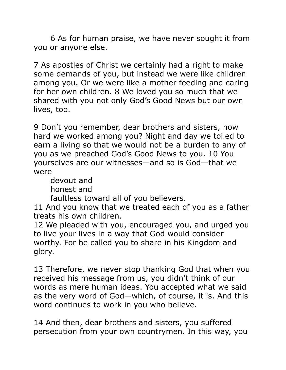6 As for human praise, we have never sought it from you or anyone else.

7 As apostles of Christ we certainly had a right to make some demands of you, but instead we were like children among you. Or we were like a mother feeding and caring for her own children. 8 We loved you so much that we shared with you not only God's Good News but our own lives, too.

9 Don't you remember, dear brothers and sisters, how hard we worked among you? Night and day we toiled to earn a living so that we would not be a burden to any of you as we preached God's Good News to you. 10 You yourselves are our witnesses—and so is God—that we were

 devout and honest and

faultless toward all of you believers.

11 And you know that we treated each of you as a father treats his own children.

12 We pleaded with you, encouraged you, and urged you to live your lives in a way that God would consider worthy. For he called you to share in his Kingdom and glory.

13 Therefore, we never stop thanking God that when you received his message from us, you didn't think of our words as mere human ideas. You accepted what we said as the very word of God—which, of course, it is. And this word continues to work in you who believe.

14 And then, dear brothers and sisters, you suffered persecution from your own countrymen. In this way, you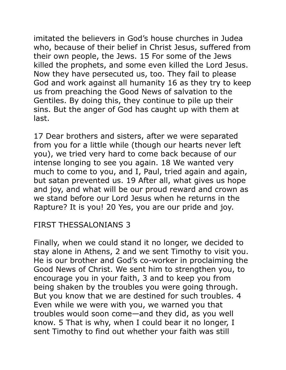imitated the believers in God's house churches in Judea who, because of their belief in Christ Jesus, suffered from their own people, the Jews. 15 For some of the Jews killed the prophets, and some even killed the Lord Jesus. Now they have persecuted us, too. They fail to please God and work against all humanity 16 as they try to keep us from preaching the Good News of salvation to the Gentiles. By doing this, they continue to pile up their sins. But the anger of God has caught up with them at last.

17 Dear brothers and sisters, after we were separated from you for a little while (though our hearts never left you), we tried very hard to come back because of our intense longing to see you again. 18 We wanted very much to come to you, and I, Paul, tried again and again, but satan prevented us. 19 After all, what gives us hope and joy, and what will be our proud reward and crown as we stand before our Lord Jesus when he returns in the Rapture? It is you! 20 Yes, you are our pride and joy.

#### FIRST THESSALONIANS 3

Finally, when we could stand it no longer, we decided to stay alone in Athens, 2 and we sent Timothy to visit you. He is our brother and God's co-worker in proclaiming the Good News of Christ. We sent him to strengthen you, to encourage you in your faith, 3 and to keep you from being shaken by the troubles you were going through. But you know that we are destined for such troubles. 4 Even while we were with you, we warned you that troubles would soon come—and they did, as you well know. 5 That is why, when I could bear it no longer, I sent Timothy to find out whether your faith was still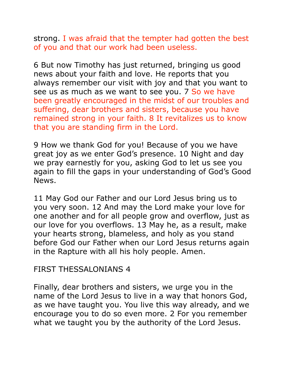strong. I was afraid that the tempter had gotten the best of you and that our work had been useless.

6 But now Timothy has just returned, bringing us good news about your faith and love. He reports that you always remember our visit with joy and that you want to see us as much as we want to see you. 7 So we have been greatly encouraged in the midst of our troubles and suffering, dear brothers and sisters, because you have remained strong in your faith. 8 It revitalizes us to know that you are standing firm in the Lord.

9 How we thank God for you! Because of you we have great joy as we enter God's presence. 10 Night and day we pray earnestly for you, asking God to let us see you again to fill the gaps in your understanding of God's Good News.

11 May God our Father and our Lord Jesus bring us to you very soon. 12 And may the Lord make your love for one another and for all people grow and overflow, just as our love for you overflows. 13 May he, as a result, make your hearts strong, blameless, and holy as you stand before God our Father when our Lord Jesus returns again in the Rapture with all his holy people. Amen.

#### FIRST THESSALONIANS 4

Finally, dear brothers and sisters, we urge you in the name of the Lord Jesus to live in a way that honors God, as we have taught you. You live this way already, and we encourage you to do so even more. 2 For you remember what we taught you by the authority of the Lord Jesus.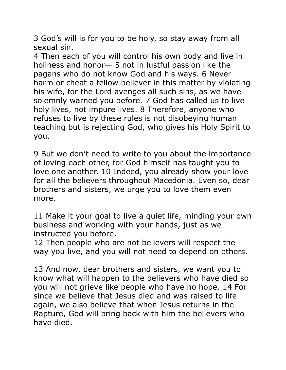3 God's will is for you to be holy, so stay away from all sexual sin.

4 Then each of you will control his own body and live in holiness and honor— 5 not in lustful passion like the pagans who do not know God and his ways. 6 Never harm or cheat a fellow believer in this matter by violating his wife, for the Lord avenges all such sins, as we have solemnly warned you before. 7 God has called us to live holy lives, not impure lives. 8 Therefore, anyone who refuses to live by these rules is not disobeying human teaching but is rejecting God, who gives his Holy Spirit to you.

9 But we don't need to write to you about the importance of loving each other, for God himself has taught you to love one another. 10 Indeed, you already show your love for all the believers throughout Macedonia. Even so, dear brothers and sisters, we urge you to love them even more.

11 Make it your goal to live a quiet life, minding your own business and working with your hands, just as we instructed you before.

12 Then people who are not believers will respect the way you live, and you will not need to depend on others.

13 And now, dear brothers and sisters, we want you to know what will happen to the believers who have died so you will not grieve like people who have no hope. 14 For since we believe that Jesus died and was raised to life again, we also believe that when Jesus returns in the Rapture, God will bring back with him the believers who have died.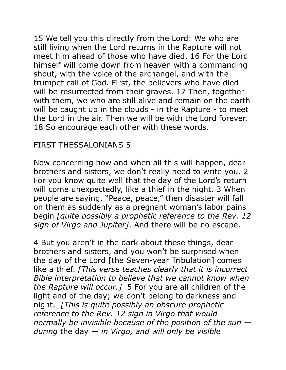15 We tell you this directly from the Lord: We who are still living when the Lord returns in the Rapture will not meet him ahead of those who have died. 16 For the Lord himself will come down from heaven with a commanding shout, with the voice of the archangel, and with the trumpet call of God. First, the believers who have died will be resurrected from their graves. 17 Then, together with them, we who are still alive and remain on the earth will be caught up in the clouds - in the Rapture - to meet the Lord in the air. Then we will be with the Lord forever. 18 So encourage each other with these words.

### FIRST THESSALONIANS 5

Now concerning how and when all this will happen, dear brothers and sisters, we don't really need to write you. 2 For you know quite well that the day of the Lord's return will come unexpectedly, like a thief in the night. 3 When people are saying, "Peace, peace," then disaster will fall on them as suddenly as a pregnant woman's labor pains begin *[quite possibly a prophetic reference to the Rev. 12 sign of Virgo and Jupiter]*. And there will be no escape.

4 But you aren't in the dark about these things, dear brothers and sisters, and you won't be surprised when the day of the Lord [the Seven-year Tribulation] comes like a thief. *[This verse teaches clearly that it is incorrect Bible interpretation to believe that we cannot know when the Rapture will occur.]* 5 For you are all children of the light and of the day; we don't belong to darkness and night. *[This is quite possibly an obscure prophetic reference to the Rev. 12 sign in Virgo that would normally be invisible because of the position of the sun during* the day — *in Virgo, and will only be visible*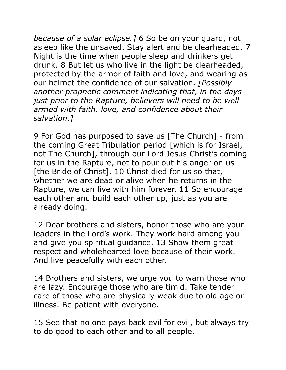*because of a solar eclipse.]* 6 So be on your guard, not asleep like the unsaved. Stay alert and be clearheaded. 7 Night is the time when people sleep and drinkers get drunk. 8 But let us who live in the light be clearheaded, protected by the armor of faith and love, and wearing as our helmet the confidence of our salvation. *[Possibly another prophetic comment indicating that, in the days just prior to the Rapture, believers will need to be well armed with faith, love, and confidence about their salvation.]*

9 For God has purposed to save us [The Church] - from the coming Great Tribulation period [which is for Israel, not The Church], through our Lord Jesus Christ's coming for us in the Rapture, not to pour out his anger on us - [the Bride of Christ]. 10 Christ died for us so that, whether we are dead or alive when he returns in the Rapture, we can live with him forever. 11 So encourage each other and build each other up, just as you are already doing.

12 Dear brothers and sisters, honor those who are your leaders in the Lord's work. They work hard among you and give you spiritual guidance. 13 Show them great respect and wholehearted love because of their work. And live peacefully with each other.

14 Brothers and sisters, we urge you to warn those who are lazy. Encourage those who are timid. Take tender care of those who are physically weak due to old age or illness. Be patient with everyone.

15 See that no one pays back evil for evil, but always try to do good to each other and to all people.